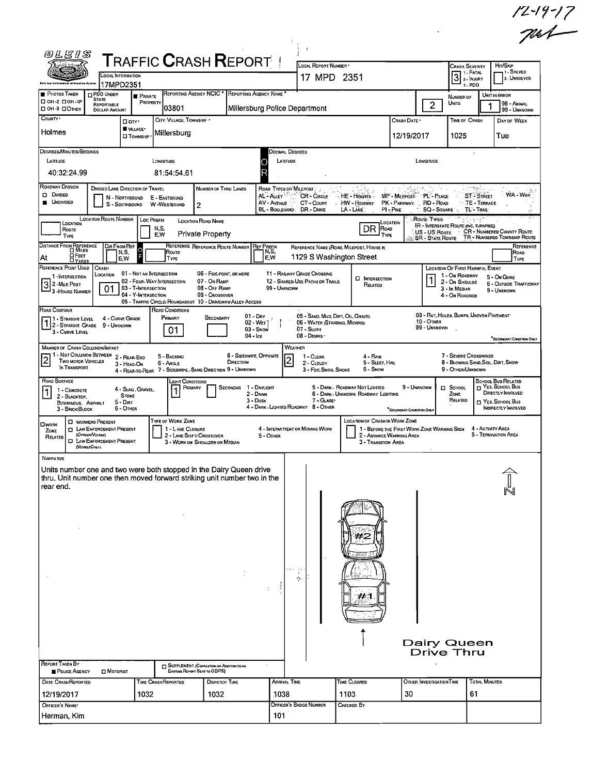|                                                                                                                                                                                  |                                          |                                                                                                      |                                                                                                      |                                                                             |                                                         |                                                                                                            |                                                                                  |                                                                                          |                         |                                                                                                         |                                                                                                                |                                 | $12 - 19 - 17$                                                                                                  |
|----------------------------------------------------------------------------------------------------------------------------------------------------------------------------------|------------------------------------------|------------------------------------------------------------------------------------------------------|------------------------------------------------------------------------------------------------------|-----------------------------------------------------------------------------|---------------------------------------------------------|------------------------------------------------------------------------------------------------------------|----------------------------------------------------------------------------------|------------------------------------------------------------------------------------------|-------------------------|---------------------------------------------------------------------------------------------------------|----------------------------------------------------------------------------------------------------------------|---------------------------------|-----------------------------------------------------------------------------------------------------------------|
| <i>®LE1S</i>                                                                                                                                                                     |                                          |                                                                                                      | <b>TRAFFIC CRASH REPORT!</b>                                                                         |                                                                             |                                                         |                                                                                                            | $\overline{1}$<br>LOCAL REPORT NUMBER .                                          |                                                                                          |                         |                                                                                                         |                                                                                                                |                                 |                                                                                                                 |
|                                                                                                                                                                                  | OCAL INFORMATION<br>17MPD2351            |                                                                                                      |                                                                                                      |                                                                             |                                                         |                                                                                                            | 17 MPD 2351                                                                      |                                                                                          |                         |                                                                                                         | <b>CRASH SEVERITY</b><br>$3$ $\cdot$ Fatal<br>$3 - PDO$                                                        |                                 | HIT/SKIP<br>-1 - Solved<br>2. UNSOLVED                                                                          |
| PHOTOS TAKEN<br><b>O PDO UNDER</b><br>STATE<br>□ ОН-2 □ ОН-1Р                                                                                                                    | REPORTABLE                               | <b>PRIVATE</b><br>PROPERTY                                                                           |                                                                                                      |                                                                             | REPORTING AGENCY NCIC * REPORTING AGENCY NAME *         |                                                                                                            |                                                                                  |                                                                                          |                         | $\overline{2}$                                                                                          | NUMBER OF<br>Units                                                                                             |                                 | UNIT IN ERROR<br>98 - ANIMAL                                                                                    |
| <b>OH-3 OOTHER</b><br>COUNTY *                                                                                                                                                   | <b>DOLLAR AMOUNT</b>                     | □ cm·                                                                                                | 03801<br>CITY, VILLAGE, TOWNSHIP .                                                                   |                                                                             | Millersburg Police Department                           |                                                                                                            |                                                                                  |                                                                                          | CRASH DATE *            |                                                                                                         | TIME OF CRASH                                                                                                  |                                 | 99 - UNKNOWN<br>DAY OF WEEK                                                                                     |
| Holmes                                                                                                                                                                           |                                          | VILLAGE*<br>O TOWNSHIP                                                                               | Millersburg                                                                                          |                                                                             |                                                         |                                                                                                            |                                                                                  |                                                                                          | 12/19/2017              |                                                                                                         | 1025                                                                                                           |                                 | Tue                                                                                                             |
| DEGREES/MINUTES/SECONDS<br>LATIUDE                                                                                                                                               |                                          |                                                                                                      | LONGITUDE                                                                                            |                                                                             |                                                         | Decimal Degrees<br>LATITUDE                                                                                |                                                                                  |                                                                                          |                         | LONGITUDE                                                                                               |                                                                                                                |                                 |                                                                                                                 |
| 40:32:24.99                                                                                                                                                                      |                                          |                                                                                                      | 81:54:54.61                                                                                          |                                                                             |                                                         |                                                                                                            |                                                                                  |                                                                                          |                         |                                                                                                         |                                                                                                                |                                 |                                                                                                                 |
| ROADWAY DIVISION<br>D Divideo<br><b>UNDIVIDED</b>                                                                                                                                | N - NORTHBOUND<br>S - SOUTHBOUND         | DIVIDED LANE DIRECTION OF TRAVEL                                                                     | E - EASTBOUND<br>W-WESTBOUND<br>$\overline{2}$                                                       | NUMBER OF THRU LANES                                                        |                                                         | ROAD TYPES OR MILEPOST<br>AL - Auer <sup>Pro</sup> rf<br>AV - AVENUE<br>r ts.<br>BL - BOULEVARD DR - DRIVE | CR-CIRCLE<br>CT-Count                                                            | و وۋەنز<br>, НЕ - Наситs<br>HW - Highway<br>LA - LANE                                    | - トロミザメもじな<br>PI-PIKE   | MP'- MILEPOST PL'- PLACE<br>PK - PARKWAY RD - ROAD<br>SQ - SQUARE                                       | $\cdot$ TE - Terrace<br>TL - Trail:                                                                            | i gregoria.<br><b>ST-STREET</b> | WA - WAY                                                                                                        |
| <b>LOCATION ROUTE NUMBER</b><br>Location<br>Route<br>TYPE                                                                                                                        |                                          | <b>Loc PREFIX</b><br>N,S,<br>E,W                                                                     |                                                                                                      | <b>LOCATION ROAD NAME</b><br><b>Private Property</b>                        |                                                         |                                                                                                            |                                                                                  | DR POAD<br>TYPE                                                                          | LOCATION                | Route TYPES<br><b>IR - INTERSTATE ROUTE (INC. TURNPIKE)</b><br>US - US Route<br><b>SR - State Route</b> |                                                                                                                |                                 | <b>CR - NUMBERED COUNTY ROUTE</b><br>TR ~ NUMBERED TOWNSHIP ROUTE                                               |
| DISTANCE FROM REFERENCE<br><b>OFEET</b><br>Αt<br>$\Box$ YARDS                                                                                                                    | <b>DIR FROM REF</b><br>N,S,<br>E,W       |                                                                                                      | Route<br>TYPE                                                                                        |                                                                             | REFERENCE REFERENCE ROUTE NUMBER REF PREEIX             | N S,<br>E,W                                                                                                |                                                                                  | REFERENCE NAME (ROAD, MILEPOST, HOUSE #)<br>1129 S Washington Street                     |                         |                                                                                                         |                                                                                                                |                                 | Reference<br>Road<br><b>TYPE</b>                                                                                |
| REFERENCE POINT USED<br>CRASH<br>LOCATION<br>1-INTERSECTION<br>$3^2$ - Mile Post<br><sup>1</sup> 3 - House Number                                                                | 01                                       | 01 - NOT AN INTERSECTION<br>02 - FOUR-WAY INTERSECTION<br>03 - T-INTERSECTION<br>04 - Y-INTERSECTION | 05 - TRAFFIC CIRCLE/ ROUNDABOUT 10 - DRIVEWAY/ ALLEY ACCESS                                          | 06 - FIVE-POINT, OR MORE<br>07 - On Raup<br>08 - Off RAMP<br>09 - Crossover |                                                         | 99 - UNKNOWN                                                                                               | 11 - RAILWAY GRADE CROSSING<br>12 - SHARED-USE PATHS OR TRAILS                   | <b>D</b> INTERSECTION<br>RELATED                                                         |                         |                                                                                                         | <b>LOCATION OF FIRST HARMFUL EVENT</b><br>1 - On ROADWAY<br>2 - On Shoulde<br>3 - In Median<br>4 - On ROADSIDE |                                 | 5 - On Gore<br><b>6 - OUTSIDE TRAFFICWAY</b><br>9 - UNKNOWN                                                     |
| ROAD CONTOUR<br>11 - Straight Level<br>$1\overline{\smash{)}2\cdot\text{Stranght}}$ Grade 9 - Unknown<br>3 - CURVE LEVEL                                                         | 4 - CURVE GRADE                          |                                                                                                      | ROAD CONDITIONS<br>PRIMARY<br>01                                                                     | SECONDARY                                                                   | $01 - \text{Dry}$<br>02 - WET]<br>03 - Snow             |                                                                                                            | 05 - SAND, MUD, DIRT, OIL, GRAVEL<br>06 - WATER (STANDING, MOVING)<br>07 - SLUSH |                                                                                          |                         | 09 - RUT, HOLES, BUMPS, UNEVEN PAVEMENT*<br>10 - Отнев<br>99 - UNKNOWN                                  |                                                                                                                |                                 |                                                                                                                 |
| MANNER OF CRASH COLLISION/MPACT<br>1 - Not Collision BETWEEN 2 - REAR-END<br>$\overline{c}$<br><b>TWO MOTOR VEHICLES</b><br>IN TRANSPORT                                         |                                          | 3 - HEAD-ON                                                                                          | 5 - BACKINO<br>6 - Angle<br>4 - REAR-TO-REAR 7 - SIDESWIPE, SAME DIRECTION 9 - UNKNOWN               |                                                                             | $04 -$ Ice<br>8 - SIDESWIPE, OPPOSITE<br>DIRECTION      | WEATHER<br>$\vert$ 2                                                                                       | 08 - DEBRIS<br>1 - CLEAR<br>2 - CLOUDY<br>3 - Fog.Smog.Smoke                     | 4 - RAIN<br>5 - SLEET, HAIL<br>6 - Snow                                                  |                         |                                                                                                         | 7 - SEVERE CROSSWINDS<br>8 - BLOWING SAND, SOIL, DIRT, SNOW<br>9 - OTHER/UNKNOWN                               |                                 | SECONDARY CONDITION ONLY                                                                                        |
| <b>ROAD SURFACE</b><br>1 - CONCRETE<br> 1<br>2 - BLACKTOP.<br>BITUMINOUS, ASPHALT<br>3 - BRICK/BLOCK                                                                             | <b>STONE</b><br>$5 - D$ IRT<br>6 - OTHER | 4 - Slag, Gravel,                                                                                    | Light Conditions<br>Primary                                                                          |                                                                             | 1 - Daylight<br><b>SECONDAR</b><br>2 - DAWN<br>3 - Dusk |                                                                                                            | 7 - GLARE*<br>4 - DARK - LIGHTED ROADWAY 8 - OTHER                               | 5 - DARK - ROADWAY NOT LIGHTED<br>6 - DARK - UNKNOWN ROADWAY LIGHTING                    | SECONDARY CONDITION ONL | 9 - UNKNOWN                                                                                             | $\Box$ School<br>ZONE<br>RELATED                                                                               |                                 | SCHOOL BUS RELATED<br>T YES, SCHOOL BUS<br>DIRECTLY INVOLVED<br>□ YES. SCHOOL Bus<br><b>INDIRECTLY INVOLVED</b> |
| <b>U</b> WORKERS PRESENT<br><b>LI WORK</b><br><b>D</b> LAW ENFORCEMENT PRESENT<br>ZONE<br>(OFFICER/VENICLE)<br>RELATED<br><b>O LAW ENFORCEMENT PRESENT</b><br>(VEGGLEOMY)        |                                          |                                                                                                      | TYPE OF WORK ZONE<br>1 - LANE CLOSURE<br>2 - LANE SHIFT/ CROSSOVER<br>3 - WORK ON SHOULDER OR MEDIAN |                                                                             |                                                         | 5 - Other                                                                                                  | 4 - INTERMITTENT OR MOVING WORK                                                  | <b>LOCATION OF CRASH IN WORK ZONE</b><br>2 - ADVANCE WARNING AREA<br>3 - Transition Area |                         | 1 - BEFORE THE FIRST WORK ZONE WARNING SIGN                                                             |                                                                                                                |                                 | 4 - ACTIVITY AREA<br>5 - TERMINATION AREA                                                                       |
| <b>NARRATIVE</b><br>Units number one and two were both stopped in the Dairy Queen drive<br>thru. Unit number one then moved forward striking unit number two in the<br>rear end. |                                          |                                                                                                      |                                                                                                      |                                                                             |                                                         |                                                                                                            |                                                                                  |                                                                                          |                         |                                                                                                         |                                                                                                                |                                 |                                                                                                                 |
| $\sim$                                                                                                                                                                           |                                          |                                                                                                      |                                                                                                      |                                                                             |                                                         |                                                                                                            | ببراه                                                                            | ≠1                                                                                       |                         |                                                                                                         |                                                                                                                |                                 |                                                                                                                 |
|                                                                                                                                                                                  |                                          |                                                                                                      |                                                                                                      |                                                                             |                                                         |                                                                                                            |                                                                                  |                                                                                          |                         | Dairy Queen<br>Drive Thru                                                                               |                                                                                                                |                                 |                                                                                                                 |
| REPORT TAKEN BY<br>POLICE AGENCY                                                                                                                                                 | <b>D</b> MOTORIST                        |                                                                                                      | SUPPLEMENT (CORRECTION OR ADDITION TO AN<br>Existing Report Sent to ODPS)                            | DISPATCH TIME                                                               |                                                         | Arrival Time                                                                                               |                                                                                  | TIME CLEARED                                                                             |                         | <b>OTHER INVESTIGATION TIME</b>                                                                         |                                                                                                                | <b>TOTAL MINUTES</b>            |                                                                                                                 |
| DATE CRASHREPORTED<br>12/19/2017                                                                                                                                                 |                                          | 1032                                                                                                 | TIME CRASHREPORTED                                                                                   | 1032                                                                        |                                                         | 1038                                                                                                       |                                                                                  | 1103                                                                                     | 30                      |                                                                                                         | 61                                                                                                             |                                 |                                                                                                                 |
| OFFICER'S NAME<br>Herman, Kim                                                                                                                                                    |                                          |                                                                                                      |                                                                                                      |                                                                             |                                                         | 101                                                                                                        | Officer's Badge Number                                                           | Снескер Ву                                                                               |                         |                                                                                                         |                                                                                                                |                                 |                                                                                                                 |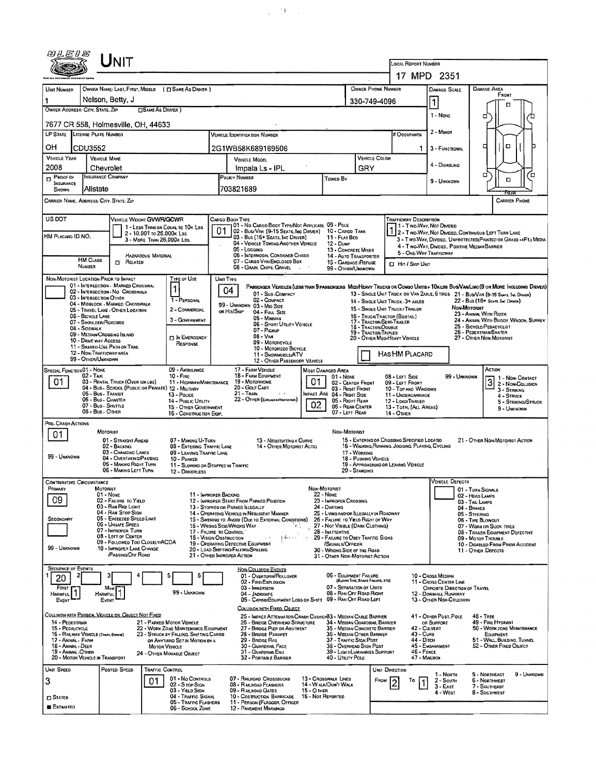|                                                                                                                                                                                                                                                                                                                                                                                                                            |                                                | UNIT                                                                               |                                                                   |                                                       |                                                                                                                                              |                                                                                                                                                  |                                                                                                  |  |                                                                                             |                                                                  |                                                     |                                                           |                                                                                                                                  |                                                                                                                         |                                                              |                                                      |  |  |
|----------------------------------------------------------------------------------------------------------------------------------------------------------------------------------------------------------------------------------------------------------------------------------------------------------------------------------------------------------------------------------------------------------------------------|------------------------------------------------|------------------------------------------------------------------------------------|-------------------------------------------------------------------|-------------------------------------------------------|----------------------------------------------------------------------------------------------------------------------------------------------|--------------------------------------------------------------------------------------------------------------------------------------------------|--------------------------------------------------------------------------------------------------|--|---------------------------------------------------------------------------------------------|------------------------------------------------------------------|-----------------------------------------------------|-----------------------------------------------------------|----------------------------------------------------------------------------------------------------------------------------------|-------------------------------------------------------------------------------------------------------------------------|--------------------------------------------------------------|------------------------------------------------------|--|--|
|                                                                                                                                                                                                                                                                                                                                                                                                                            |                                                |                                                                                    |                                                                   |                                                       |                                                                                                                                              |                                                                                                                                                  |                                                                                                  |  |                                                                                             |                                                                  |                                                     | LOCAL REPORT NUMBER<br>17 MPD 2351                        |                                                                                                                                  |                                                                                                                         |                                                              |                                                      |  |  |
| OWNER NAME: LAST, FIRST, MIDDLE ( C SAME AS DRIVER )<br>UNIT NUMBER                                                                                                                                                                                                                                                                                                                                                        |                                                |                                                                                    |                                                                   |                                                       |                                                                                                                                              |                                                                                                                                                  |                                                                                                  |  |                                                                                             |                                                                  | OWNER PHONE NUMBER                                  |                                                           |                                                                                                                                  |                                                                                                                         | <b>DAMAGE AREA</b>                                           |                                                      |  |  |
| Nelson, Betty, J<br>1                                                                                                                                                                                                                                                                                                                                                                                                      |                                                |                                                                                    |                                                                   |                                                       |                                                                                                                                              |                                                                                                                                                  |                                                                                                  |  |                                                                                             |                                                                  | <b>DAMAGE SCALE</b><br>$\mathbf{1}$<br>330-749-4096 |                                                           |                                                                                                                                  |                                                                                                                         |                                                              | FRONT                                                |  |  |
| OWNER ADDRESS: CITY, STATE, ZIP                                                                                                                                                                                                                                                                                                                                                                                            |                                                |                                                                                    | SAME AS DRIVER)                                                   |                                                       |                                                                                                                                              |                                                                                                                                                  |                                                                                                  |  |                                                                                             |                                                                  |                                                     |                                                           | 1 - None                                                                                                                         |                                                                                                                         | ۵                                                            | п                                                    |  |  |
| 7677 CR 558, Holmesville, OH, 44633<br>LP STATE LICENSE PLATE NUMBER                                                                                                                                                                                                                                                                                                                                                       |                                                |                                                                                    |                                                                   |                                                       |                                                                                                                                              |                                                                                                                                                  |                                                                                                  |  |                                                                                             |                                                                  |                                                     |                                                           | 2 - MINOR                                                                                                                        |                                                                                                                         |                                                              |                                                      |  |  |
|                                                                                                                                                                                                                                                                                                                                                                                                                            |                                                |                                                                                    |                                                                   |                                                       |                                                                                                                                              | Vehicle Identification Number                                                                                                                    |                                                                                                  |  |                                                                                             |                                                                  |                                                     | # Occupants                                               |                                                                                                                                  |                                                                                                                         |                                                              | O                                                    |  |  |
| OН<br><b>VEHICLE YEAR</b>                                                                                                                                                                                                                                                                                                                                                                                                  | CDU3552<br><b>VEHICLE MAKE</b>                 |                                                                                    |                                                                   |                                                       | 2G1WB58K689169506<br>VEHICLE COLOR<br>VEHICLE MODEL                                                                                          |                                                                                                                                                  |                                                                                                  |  |                                                                                             |                                                                  |                                                     |                                                           | 3 - FUNCTIONAL<br>1.                                                                                                             |                                                                                                                         | а                                                            |                                                      |  |  |
| 2008                                                                                                                                                                                                                                                                                                                                                                                                                       | Chevrolet                                      |                                                                                    |                                                                   |                                                       | Impala Ls - IPL                                                                                                                              |                                                                                                                                                  |                                                                                                  |  |                                                                                             | GRY                                                              |                                                     |                                                           | 4 - Disabung                                                                                                                     |                                                                                                                         |                                                              |                                                      |  |  |
| $P_{\text{ROOF OF}}$<br><b>INSURANCE</b><br><b>SHOWN</b>                                                                                                                                                                                                                                                                                                                                                                   | <b>INSURANCE COMPANY</b><br>Allstate           |                                                                                    |                                                                   |                                                       |                                                                                                                                              |                                                                                                                                                  | POLICY NUMBER<br>Towen By<br>703821689                                                           |  |                                                                                             |                                                                  |                                                     |                                                           | 9 - UNKNOWN                                                                                                                      |                                                                                                                         | о                                                            | ά<br>۵                                               |  |  |
| CARRIER NAME, ADDRESS, CITY, STATE, ZIP<br><b>CARRIER PHONE</b>                                                                                                                                                                                                                                                                                                                                                            |                                                |                                                                                    |                                                                   |                                                       |                                                                                                                                              |                                                                                                                                                  |                                                                                                  |  |                                                                                             |                                                                  |                                                     |                                                           |                                                                                                                                  |                                                                                                                         |                                                              |                                                      |  |  |
| US DOT<br>VEHICLE WEIGHT GVWFUGCWR<br>CARGO BODY TYPE<br><b>TRAFFICWAY DESCRIPTION</b><br>01 - No CARGO BODY TYPE/NOT APPLICABL 09 - POLE<br>11 - Two-Way, Not Divided<br>1 - LESS THAN OR EQUAL TO 10K LBS                                                                                                                                                                                                                |                                                |                                                                                    |                                                                   |                                                       |                                                                                                                                              |                                                                                                                                                  |                                                                                                  |  |                                                                                             |                                                                  |                                                     |                                                           |                                                                                                                                  |                                                                                                                         |                                                              |                                                      |  |  |
| HM PLACARO ID NO.                                                                                                                                                                                                                                                                                                                                                                                                          |                                                |                                                                                    | 2 - 10,001 To 26,000K LBS                                         | 3 - MORE THAN 26,000 x LBS.                           | 01                                                                                                                                           |                                                                                                                                                  | 02 - Bus/Van (9-15 Seats, Inc Driver)<br>03 - Bus (16+ Seats, Inc Driver)                        |  | 10 - CARGO TANK<br>11 - FLAT BED                                                            |                                                                  |                                                     |                                                           |                                                                                                                                  | 2 - TWO-WAY, NOT DIVIDED, CONTINUOUS LEFT TURN LANE<br>3 - Two-Way, Divided, UNPROTECTED (PAINTED OR GRASS >4FT.) MEDIA |                                                              |                                                      |  |  |
|                                                                                                                                                                                                                                                                                                                                                                                                                            |                                                |                                                                                    | HAZARDOUS MATERIAL                                                |                                                       | 04 - VEHICLE TOWING ANOTHER VEHICLE<br>05 - Logging<br>06 - INTERMODAL CONTAINER CHASIS                                                      |                                                                                                                                                  |                                                                                                  |  |                                                                                             | 12 - DUMP<br>13 - CONCRETE MIXER<br><b>14 - AUTO TRANSPORTER</b> |                                                     |                                                           | 5 - ONE-WAY TRAFFICWAY                                                                                                           | 4 - Two-WAY, DIVIDED, POSITIVE MEDIAN BARRIER                                                                           |                                                              |                                                      |  |  |
|                                                                                                                                                                                                                                                                                                                                                                                                                            | <b>HM CLASS</b><br><b>NUMBER</b>               | <b>ELATED</b>                                                                      |                                                                   |                                                       | 07 - CARGO VAN/ENCLOSED BOX<br>15 - GARBAGE /REFUSE<br>08 - Grain, Chips, Gravel<br>99 - OTHER/UNKNOWN                                       |                                                                                                                                                  |                                                                                                  |  |                                                                                             |                                                                  |                                                     | <b>El Hir/Skip Unit</b>                                   |                                                                                                                                  |                                                                                                                         |                                                              |                                                      |  |  |
| NON-MOTORIST LOCATION PRIOR TO IMPACT                                                                                                                                                                                                                                                                                                                                                                                      |                                                |                                                                                    |                                                                   | TYPE OF USE                                           | UNIT TYPE                                                                                                                                    |                                                                                                                                                  |                                                                                                  |  |                                                                                             |                                                                  |                                                     |                                                           |                                                                                                                                  |                                                                                                                         |                                                              |                                                      |  |  |
| 01 - INTERSECTION - MARKED CROSSWAL<br>PASSENGER VEHICLES (LESS THAN 9 PASSENGERS MEDIHEAVY TRUCKS OR COMBO UNITS > 10KLBS BUSWAN/LIMO(9 OR MORE INCLUDING DRIVER)<br>1<br>04<br>02 - INTERSECTION - NO CROSSWALK<br>13 - SINGLE UNIT TRUCK OR VAN 2AXLE, 6 TIRES 21 - BUS/VAN (9-15 SEATS, INC DRIVER)<br>01 - Sub COMPACT<br>03 - INTERSECTION OTHER<br>1 - PERSONAL<br>02 - COMPACT<br>14 - SINGLE UNIT TRUCK: 3+ AXLES |                                                |                                                                                    |                                                                   |                                                       |                                                                                                                                              |                                                                                                                                                  |                                                                                                  |  |                                                                                             |                                                                  | 22 - Bus (16+ Seath, Inc Draver)                    |                                                           |                                                                                                                                  |                                                                                                                         |                                                              |                                                      |  |  |
|                                                                                                                                                                                                                                                                                                                                                                                                                            | 06 - BICYCLE LANE                              | 04 - MIDBLOCK - MARKED CROSSWALK<br>05 - TRAVEL LANE - OTHER LOCATION              |                                                                   | 2 - COMMERCIAL                                        |                                                                                                                                              | 99 - UNKNOWN 03 - MID SIZE<br>OR HIT/SKIP<br>04 - FULL SIZE                                                                                      |                                                                                                  |  |                                                                                             |                                                                  |                                                     | 15 - SINGLE UNIT TRUCK / TRAILER                          |                                                                                                                                  | <b><i>Non-Motorist</i></b>                                                                                              | 23 - ANIMAL WITH RIDER                                       |                                                      |  |  |
|                                                                                                                                                                                                                                                                                                                                                                                                                            | 07 - SHOULDER/ROADSIDE<br>08 - SIDEWALK        |                                                                                    |                                                                   | 3 - GOVERNMENT                                        | 16 - TRUCK/TRACTOR (BOBTAIL)<br>05 - MINIVAN<br>17 - TRACTOR/SEMI-TRAILER<br>06 - Sport UTIUTY VEHICLE<br>18 - TRACTOR/DOUBLE<br>07 - PICKUP |                                                                                                                                                  |                                                                                                  |  |                                                                                             |                                                                  |                                                     |                                                           |                                                                                                                                  | 25 - BICYCLE/PEDACYCLIST                                                                                                | 24 - ANIMAL WITH BUGGY, WAGON, SURREY                        |                                                      |  |  |
|                                                                                                                                                                                                                                                                                                                                                                                                                            | 10 - DRIVE WAY ACCESS                          | 09 - MEDIAN CROSSING ISLAND                                                        |                                                                   | <b>IN EMERGENCY</b><br>RESPONSE                       | 19 - TRACTOR/TRIPLES<br>$08 - VAN$<br>09 - MOTORCYCLE                                                                                        |                                                                                                                                                  |                                                                                                  |  |                                                                                             |                                                                  | 20 - OTHER MEDIMEAVY VEHICLE                        | 26 - PEDESTRIAN/SKATER<br>27 - OTHER NON-MOTORIST         |                                                                                                                                  |                                                                                                                         |                                                              |                                                      |  |  |
|                                                                                                                                                                                                                                                                                                                                                                                                                            | 12 - NON-TRAFFICWAY AREA<br>99 - OTHER/UNKNOWN | 11 - SHARED-USE PATH OR TRAIL                                                      |                                                                   |                                                       |                                                                                                                                              |                                                                                                                                                  | 10 - MOTORIZED BICYCLE<br>11 - SNOWMOBILE/ATV                                                    |  |                                                                                             |                                                                  |                                                     | HAS HM PLACARD                                            |                                                                                                                                  |                                                                                                                         |                                                              |                                                      |  |  |
| 09 - AMBULANCE<br>SPECIAL FUNCTION 01 - NONE                                                                                                                                                                                                                                                                                                                                                                               |                                                |                                                                                    |                                                                   |                                                       |                                                                                                                                              |                                                                                                                                                  | 12 - OTHER PASSENGER VEHICLE<br>17 - FARM VEHICLE                                                |  | MOST DAMAGED AREA                                                                           |                                                                  |                                                     |                                                           |                                                                                                                                  |                                                                                                                         | ACTION                                                       |                                                      |  |  |
| 02 - Taxi<br>$10 -$ Fire<br>01.<br>03 - RENTAL TRUCK (OVER 10K LBS)<br>11 - HIGHWAY/MAINTENANCE<br>04 - Bus - School (Public or Private) 12 - MILITARY                                                                                                                                                                                                                                                                     |                                                |                                                                                    |                                                                   |                                                       | 18 - FARM EQUIPMENT<br>01 - None<br>01<br>19 - MOTORHOME<br>02 - CENTER FRONT<br>20 - Golf Cart<br>03 - Fught Front                          |                                                                                                                                                  |                                                                                                  |  |                                                                                             |                                                                  |                                                     | 08 - LEFT SIDE<br>09 - LEFT FRONT<br>10 - TOP AND WINDOWS |                                                                                                                                  | 99 - UNKNOWN                                                                                                            | $\overline{3}$                                               | 1 - Non-Contact<br>2 - NON-COLLISION<br>3 - STRIKING |  |  |
| 05 - Bus - Transit<br>13 - Pouce<br>06 - Bus - CHARTER<br>14 - PUBLIC UTILITY<br>07 - Bus - SHUTTLE<br>15 - OTHER GOVERNMENT<br>08 - Bus - OTHER<br>16 - CONSTRUCTION EQIP.                                                                                                                                                                                                                                                |                                                |                                                                                    |                                                                   |                                                       |                                                                                                                                              | 21 - TRAIN<br>MPACT ARE 04 - RIGHT SIDE<br>22 - OTHER (EXPLAN IN NAPRATIVE)<br>05 - RIGHT REAR<br>02<br>06 - REAR CENTER<br>07 - LEFT REAR       |                                                                                                  |  |                                                                                             |                                                                  | 11 - UNDERCARRIAGE<br>12 - LOAD/TRAILER             |                                                           |                                                                                                                                  |                                                                                                                         |                                                              | 4 - STRUCK<br>5 - STRIKING/STRUCK                    |  |  |
|                                                                                                                                                                                                                                                                                                                                                                                                                            |                                                |                                                                                    |                                                                   |                                                       |                                                                                                                                              |                                                                                                                                                  |                                                                                                  |  |                                                                                             |                                                                  |                                                     | 13 - TOTAL (ALL AREAS)<br>14 - Отнев                      |                                                                                                                                  |                                                                                                                         | 9 - UNKNOWN                                                  |                                                      |  |  |
| PRE-CRASH ACTIONS                                                                                                                                                                                                                                                                                                                                                                                                          |                                                | MOTORIST                                                                           |                                                                   |                                                       |                                                                                                                                              |                                                                                                                                                  |                                                                                                  |  | <b>NON-MOTORIST</b>                                                                         |                                                                  |                                                     |                                                           |                                                                                                                                  |                                                                                                                         |                                                              |                                                      |  |  |
| 01                                                                                                                                                                                                                                                                                                                                                                                                                         |                                                | 01 - STRAIGHT AHEAD<br>02 - BACKING                                                |                                                                   | 07 - MAKING U-TURN<br>08 - ENTERING TRAFFIC LANE      |                                                                                                                                              | 13 - Negotiating a Curve<br>14 - OTHER MOTORIST ACTIO                                                                                            |                                                                                                  |  |                                                                                             |                                                                  |                                                     |                                                           | 15 - ENTERING OR CROSSING SPECIFIED LOCATIO<br>21 - Отнея Non-Motorist Action<br>16 - WALKING RUNNING, JOGGING, PLAYING, CYCLING |                                                                                                                         |                                                              |                                                      |  |  |
| 03 - CHANGING LANES<br>17 - WORKING<br>09 - LEAVING TRAFFIC LANE<br>99 - UNKNOWN<br>04 - Overtaking/Passing<br>18 - PUSHING VEHICLE<br>10 - PARKED                                                                                                                                                                                                                                                                         |                                                |                                                                                    |                                                                   |                                                       |                                                                                                                                              |                                                                                                                                                  |                                                                                                  |  |                                                                                             |                                                                  |                                                     |                                                           |                                                                                                                                  |                                                                                                                         |                                                              |                                                      |  |  |
|                                                                                                                                                                                                                                                                                                                                                                                                                            |                                                | 05 - MAKING RIGHT TURN<br>06 - MAKING LEFT TURN                                    |                                                                   | 11 - SLOWING OR STOPPED IN TRAFFIC<br>12 - DRIVERLESS |                                                                                                                                              |                                                                                                                                                  |                                                                                                  |  |                                                                                             | 20 - STANDING                                                    |                                                     | 19 - APPROACHING OR LEAVING VEHICLE                       |                                                                                                                                  |                                                                                                                         |                                                              |                                                      |  |  |
| <b>CONTRIBUTING CIRCUMSTANCE</b><br>Primary                                                                                                                                                                                                                                                                                                                                                                                | MOTORIST                                       |                                                                                    |                                                                   |                                                       |                                                                                                                                              |                                                                                                                                                  |                                                                                                  |  | NON-MOTORIST                                                                                |                                                                  |                                                     |                                                           |                                                                                                                                  | <b>VEHICLE DEFECTS</b>                                                                                                  | 01 - TURN SIGNALS                                            |                                                      |  |  |
| 09                                                                                                                                                                                                                                                                                                                                                                                                                         |                                                | 01 - None<br>02 - FALURE TO YIELD                                                  |                                                                   |                                                       |                                                                                                                                              | 11 - IMPROPER BACKING<br><b>22 - NONE</b><br>12 - IMPROPER START FROM PARKED POSITION<br>23 - IMPROPER CROSSING                                  |                                                                                                  |  |                                                                                             |                                                                  |                                                     |                                                           | 02 - HEAD LAMPS<br>03 - TAIL LAMPS                                                                                               |                                                                                                                         |                                                              |                                                      |  |  |
| SECONDARY                                                                                                                                                                                                                                                                                                                                                                                                                  |                                                | 03 - RAN RED LIGHT<br>04 - RAN STOP SIGN<br>05 - Exceeded Speed Limit              |                                                                   |                                                       |                                                                                                                                              | 13 - STOPPED OR PARKED ILLEGALLY                                                                                                                 | 14 - OPERATING VEHICLE IN NEGLIGENT MANNER<br>15 - Swering to Avoid (Due to External Conditions) |  | 24 - DARTING<br>25 - LYING ANDIOR ILLEGALLY IN ROADWAY<br>26 - FALURE TO YIELD RIGHT OF WAY |                                                                  |                                                     |                                                           |                                                                                                                                  |                                                                                                                         | 04 - BRAKES<br>05 - STEERING<br>06 - TIRE BLOWOUT            |                                                      |  |  |
|                                                                                                                                                                                                                                                                                                                                                                                                                            |                                                | 06 - Unsafe Speed<br>07 - IMPROPER TURN                                            |                                                                   | 17 - FALURE TO CONTROL                                |                                                                                                                                              | 16 - Wrong Side/Wrong WAY                                                                                                                        |                                                                                                  |  | 27 - NOT VISIBLE (DARK CLOTHING)<br>28 - INATTENTIVE                                        |                                                                  |                                                     |                                                           |                                                                                                                                  |                                                                                                                         | 07 - WORN OR SLICK TIRES<br>08 - TRAILER EQUIPMENT DEFECTIVE |                                                      |  |  |
| 99 - UNKNOWN                                                                                                                                                                                                                                                                                                                                                                                                               |                                                | 08 - LEFT OF CENTER<br>09 - FOLLOWED TOO CLOSELY/ACDA<br>10 - IMPROPER LANE CHANGE |                                                                   | <b>18 - VISION OBSTRUCTION</b>                        |                                                                                                                                              | 19 - OPERATING DEFECTIVE EQUIPMENT                                                                                                               | di Savitan                                                                                       |  | 29 - FAILURE TO OBEY TRAFFIC SIGNS<br>/SIGNALS/OFFICER                                      |                                                                  |                                                     | 09 - Motor Trouble<br>10 - DISABLED FROM PRIOR ACCIDENT   |                                                                                                                                  |                                                                                                                         |                                                              |                                                      |  |  |
|                                                                                                                                                                                                                                                                                                                                                                                                                            |                                                | <b><i>PASSING/OFF ROAD</i></b>                                                     |                                                                   |                                                       |                                                                                                                                              | 20 - LOAD SHIFTING/FALLING/SPILLING<br>21 - Отнек Імркорея Астюм                                                                                 |                                                                                                  |  | 30 - WRONG SIDE OF THE ROAD<br>31 - OTHER NON-MOTORIST ACTION                               |                                                                  |                                                     |                                                           |                                                                                                                                  |                                                                                                                         | 11 - OTHER DEFECTS                                           |                                                      |  |  |
| <b>SEQUENCE OF EVENTS</b><br>2<br>20                                                                                                                                                                                                                                                                                                                                                                                       |                                                |                                                                                    |                                                                   | 5<br>6                                                |                                                                                                                                              |                                                                                                                                                  | <b>NON-COLLISION EVENTS</b><br>01 - Overturn/Rollover                                            |  | 06 - EQUIPMENT FAILURE                                                                      |                                                                  |                                                     |                                                           | 10 - Cross Median                                                                                                                |                                                                                                                         |                                                              |                                                      |  |  |
| FIRST                                                                                                                                                                                                                                                                                                                                                                                                                      |                                                |                                                                                    |                                                                   | 99 - Unknown                                          |                                                                                                                                              |                                                                                                                                                  | 02 - FIRE/EXPLOSION<br>03 - IMMERSION                                                            |  | 07 - SEPARATION OF UNITS                                                                    | (BLOWN TIRE, BRAKE FAILURE, ETC)                                 |                                                     |                                                           | 11 - Cross CENTER LINE<br>OPPOSITE DIRECTION OF TRAVEL                                                                           |                                                                                                                         |                                                              |                                                      |  |  |
| Harmful<br>EVENT                                                                                                                                                                                                                                                                                                                                                                                                           | <b>HARMFUL</b>                                 | EVENT                                                                              |                                                                   |                                                       |                                                                                                                                              |                                                                                                                                                  | 04 - JACKKNIFE<br>05 - CARGO/EQUIPMENT LOSS OR SHIFT 09 - RAN OFF ROAD LEFT                      |  | 08 - RAN OFF ROAD RIGHT                                                                     |                                                                  |                                                     |                                                           | 12 - DOWNHILL RUNAWAY<br>13 - OTHER NON-COLLISION                                                                                |                                                                                                                         |                                                              |                                                      |  |  |
| COLLISION WITH PERSON, VEHICLE OR OBJECT NOT FIXED                                                                                                                                                                                                                                                                                                                                                                         |                                                |                                                                                    |                                                                   |                                                       |                                                                                                                                              |                                                                                                                                                  | COLLISION WITH FIXED, OBJECT<br>25 - IMPACT ATTENUATOR/CRASH CUSHION33 - MEDIAN CABLE BARRIER    |  |                                                                                             |                                                                  |                                                     |                                                           | 41 - OTHER POST, POLE                                                                                                            |                                                                                                                         | 48 - TREE                                                    |                                                      |  |  |
| 14 - PEDESTRIAN<br>15 - PEDALCYCLE                                                                                                                                                                                                                                                                                                                                                                                         |                                                |                                                                                    | 21 - PARKED MOTOR VEHICLE<br>22 - WORK ZONE MAINTENANCE EQUIPMENT |                                                       | 26 - BRIDGE OVERHEAD STRUCTURE<br>34 - Median Guardrail Barrier<br>27 - BRIDGE PIER OR ABUTMENT<br>35 - MEDIAN CONCRETE BARRIER              |                                                                                                                                                  |                                                                                                  |  |                                                                                             |                                                                  |                                                     | OR SUPPORT<br>42 - CULVERT<br>43 - Curs                   |                                                                                                                                  | 49 - FIRE HYDRANT<br>EQUIPMENT                                                                                          | 50 - WORK ZONE MAINTENANCE                                   |                                                      |  |  |
| 16 - RAILWAY VEHICLE (TRAPA, EMONE)<br>23 - STRUCK BY FALLING, SHIFTING CARGO<br>17 - ANIMAL - FARM<br>OR ANYTHING SET IN MOTION BY A<br>18 - Animal - Deer<br><b>MOTOR VEHICLE</b>                                                                                                                                                                                                                                        |                                                |                                                                                    |                                                                   |                                                       |                                                                                                                                              | 28 - Bridge Parapet<br>36 - MEDIAN OTHER BARRIER<br>29 - BRIDGE RAIL<br>37 - TRAFFIC SIGN POST<br>30 - GUARDRAIL FACE<br>38 - Overhead Sign Post |                                                                                                  |  |                                                                                             |                                                                  |                                                     |                                                           | 44 - Олсн<br>45 - EMBANKMENT                                                                                                     | 51 - WALL, BUILDING, TUNNEL<br>52 - OTHER FIXED OBJECT                                                                  |                                                              |                                                      |  |  |
| 19 - ANIMAL -OTHER<br>20 - MOTOR VEHICLE IN TRANSPORT                                                                                                                                                                                                                                                                                                                                                                      |                                                |                                                                                    |                                                                   | 24 - OTHER MOVABLE OBJECT                             |                                                                                                                                              |                                                                                                                                                  | 31 - GUARDRAIL END<br>32 - PORTABLE BARRIER                                                      |  | 39 - LIGHT/LUMINARIES SUPPORT<br>40 - UTILITY POLE                                          |                                                                  |                                                     |                                                           | 46 - Еенсе<br>47 - MARBOX                                                                                                        |                                                                                                                         |                                                              |                                                      |  |  |
| <b>UNIT SPEED</b>                                                                                                                                                                                                                                                                                                                                                                                                          |                                                | Posted Speed                                                                       | TRAFFIC CONTROL                                                   |                                                       |                                                                                                                                              |                                                                                                                                                  |                                                                                                  |  |                                                                                             |                                                                  |                                                     | UNIT DIRECTION                                            | 1 - North                                                                                                                        |                                                                                                                         | 5 - NORTHEAST                                                | 9 - UNKNOWN                                          |  |  |
| 01 - No CONTROLS<br>3<br>O1<br>02 - S TOP SIGN                                                                                                                                                                                                                                                                                                                                                                             |                                                |                                                                                    |                                                                   | 03 - YIELD SIGN                                       | 07 - RAILROAD CROSSBUCKS<br>13 - Crosswalk Lines<br>14 - WALK/DON'T WALK<br>08 - RAILROAD FLASHERS<br>09 - RAILROAD GATES<br>15 - Отнев      |                                                                                                                                                  |                                                                                                  |  |                                                                                             | FROM                                                             |                                                     | То                                                        | 2 - South<br>$3 - East$<br>4 - West                                                                                              |                                                                                                                         | 6 - Northwest<br>7 - SOUTHEAST<br>8 - Southwest              |                                                      |  |  |
| 04 - Traffic Signal<br>10 - Costruction Barricade<br><b>CI STATED</b><br>05 - Traffic Flashers<br>11 - PERSON (FLAGGER, OFFICER                                                                                                                                                                                                                                                                                            |                                                |                                                                                    |                                                                   |                                                       |                                                                                                                                              |                                                                                                                                                  | 16 - Not Reported                                                                                |  |                                                                                             |                                                                  |                                                     |                                                           |                                                                                                                                  |                                                                                                                         |                                                              |                                                      |  |  |
| <b>E</b> Estimated                                                                                                                                                                                                                                                                                                                                                                                                         |                                                |                                                                                    |                                                                   | 06 - School Zone                                      |                                                                                                                                              |                                                                                                                                                  | 12 - PAVEMENT MARKINGS                                                                           |  |                                                                                             |                                                                  |                                                     |                                                           |                                                                                                                                  |                                                                                                                         |                                                              |                                                      |  |  |

 $\mathcal{A}^{\mathcal{A}}_{\mathcal{A}}$  . If  $\mathcal{A}^{\mathcal{A}}_{\mathcal{A}}$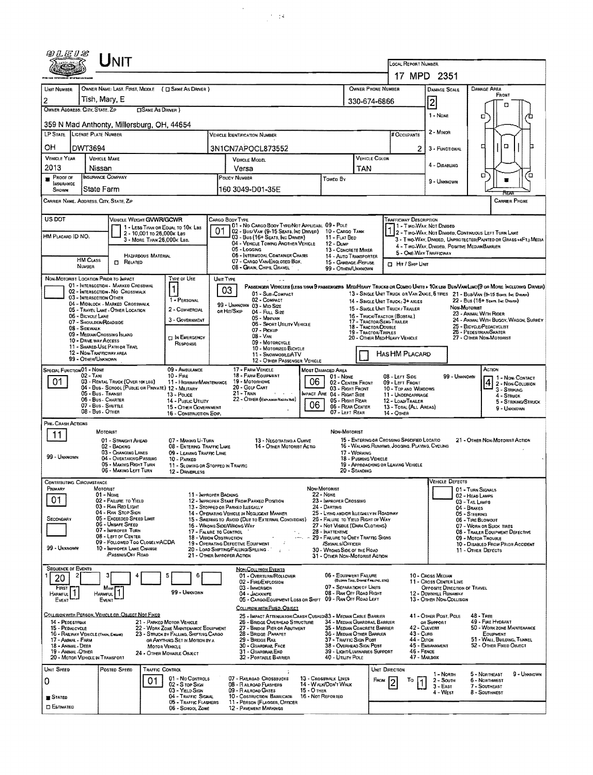| UNIT                                                                                                                                                           |                                                                                                                                                                     |                                                                                                    |                                                                                                                                                                                                                     |  |  |  |  |  |  |  |  |
|----------------------------------------------------------------------------------------------------------------------------------------------------------------|---------------------------------------------------------------------------------------------------------------------------------------------------------------------|----------------------------------------------------------------------------------------------------|---------------------------------------------------------------------------------------------------------------------------------------------------------------------------------------------------------------------|--|--|--|--|--|--|--|--|
|                                                                                                                                                                | LOCAL REPORT NUMBER                                                                                                                                                 | 17 MPD 2351                                                                                        |                                                                                                                                                                                                                     |  |  |  |  |  |  |  |  |
| OWNER NAME: LAST, FIRST, MIDDLE ( C SAME AS DRIVER )<br>UNIT NUMBER                                                                                            | OWNER PHONE NUMBER                                                                                                                                                  | <b>DAMAGE AREA</b><br>DAMAGE SCALE                                                                 |                                                                                                                                                                                                                     |  |  |  |  |  |  |  |  |
| Tish, Mary, E<br>$\overline{c}$                                                                                                                                |                                                                                                                                                                     | 330-674-6866                                                                                       | FRONT<br>$\overline{2}$                                                                                                                                                                                             |  |  |  |  |  |  |  |  |
| OWNER ADDRESS: CITY, STATE, ZIP<br><b>CISAME AS DRIVER</b> )                                                                                                   |                                                                                                                                                                     |                                                                                                    | ▫<br>1 - Nose<br>o                                                                                                                                                                                                  |  |  |  |  |  |  |  |  |
| 359 N Mad Anthonty, Millersburg, OH, 44654                                                                                                                     |                                                                                                                                                                     |                                                                                                    |                                                                                                                                                                                                                     |  |  |  |  |  |  |  |  |
| LP STATE LICENSE PLATE NUMBER                                                                                                                                  | VEHICLE IDENTIFICATION NUMBER                                                                                                                                       | # OccupANTS                                                                                        | 2 - Minor                                                                                                                                                                                                           |  |  |  |  |  |  |  |  |
| ОH<br>DWT3694                                                                                                                                                  | 3N1CN7APOCL873552                                                                                                                                                   | 2                                                                                                  | $\Box$<br>₫<br>3 - FUNCTIONAL                                                                                                                                                                                       |  |  |  |  |  |  |  |  |
| <b>VEHICLE YEAR</b><br><b>VEHICLE MAKE</b><br>2013<br>Nissan                                                                                                   | VEHICLE MODEL<br>Versa                                                                                                                                              | <b>VEHICLE COLOR</b><br>TAN                                                                        | 4 - DISABLING                                                                                                                                                                                                       |  |  |  |  |  |  |  |  |
| <b>INSURANCE COMPANY</b><br>PROOF OF<br><b>INSURANCE</b>                                                                                                       | POLICY NUMBER<br>Towen By                                                                                                                                           |                                                                                                    | а<br>α<br>■<br>9 - UNKNOWN                                                                                                                                                                                          |  |  |  |  |  |  |  |  |
| State Farm<br>Shown                                                                                                                                            | 160 3049-D01-35E                                                                                                                                                    |                                                                                                    |                                                                                                                                                                                                                     |  |  |  |  |  |  |  |  |
| CARRIER NAME, ADDRESS, CITY, STATE, ZIP<br>CARRIER PHONE                                                                                                       |                                                                                                                                                                     |                                                                                                    |                                                                                                                                                                                                                     |  |  |  |  |  |  |  |  |
| US DOT<br>VEHICLE WEIGHT GWWR/GCWR<br>Trafficway Description<br>Cargo Body Type<br>01 - No Cargo Body Type/Not Applicabl 09 - Pole<br>1 - Two-Way, Not Divided |                                                                                                                                                                     |                                                                                                    |                                                                                                                                                                                                                     |  |  |  |  |  |  |  |  |
| 1 - LESS THAN OR EQUAL TO 10K LBS<br>2 - 10,001 to 26,000k Les<br>HM PLACARD ID NO.<br>3 - MORE THAN 26.000K LBS.                                              | 01<br>02 - Bus/VAN (9-15 SEATS, INC DRIVER) 10 - CARGO TANK<br>03 - Bus (16+ SEATS, INC DRIVER)<br>11 - FLAT BED                                                    |                                                                                                    | 2 - Two-Way, Not Divided, Continuous Left Turn Lane<br>3 - Two-Way, DIVIDED, UNPROTECTED (PAINTED OR GRASS >4FT.) MEDIA                                                                                             |  |  |  |  |  |  |  |  |
|                                                                                                                                                                | 04 - VEHICLE TOWING ANOTHER VEHICLE<br>12 - DuмP<br>05 - Loccing                                                                                                    | 13 - CDNCRETE MIXER                                                                                | 4 - Two-Way, DIVIDED, POSITIVE MEDIANBARRIER<br>5 - ONE-WAY TRAFFICWAY                                                                                                                                              |  |  |  |  |  |  |  |  |
| HAZARDOUS MATERIAL<br>HM CLASS<br><b>CI RELATED</b><br>NUMBER                                                                                                  | 06 - INTERMODAL CONTAINER CHASIS<br>07 - CARGO VAN/ENGLOSED BOX.                                                                                                    | 14 - AUTO TRANSPORTER<br>15 - GARBAGE/REFUSE<br><b>I Hit / SKIP UNIT</b>                           |                                                                                                                                                                                                                     |  |  |  |  |  |  |  |  |
| NON-MOTORIST LOCATION PRIOR TO IMPACT<br>Type of Use                                                                                                           | 08 - Grain, Chips, Gravel<br>UNIT TYPE                                                                                                                              | 99 - OTHER/UNKNOWN                                                                                 |                                                                                                                                                                                                                     |  |  |  |  |  |  |  |  |
| 01 - INTERSECTION - MARKED CROSSWAL<br>02 - INTERSECTION - NO CROSSWALK                                                                                        | 03<br>01 - Sub-CDMPACT                                                                                                                                              |                                                                                                    | PASSENGER VEHICLES (LESS THAN 9 PASSENGERS MEDIHEAVY TRUCKS OR COMSO UNITS > 10K LES BUS/VAN/LIMO(9 OR MORE INCLUDING DRIVER)<br>13 - SINGLE UNIT TRUCK OR VAN 2AXLE, 6 TIRES 21 - BUS/VAN (9-15 SEATS, INC DRIVER) |  |  |  |  |  |  |  |  |
| 03 - INTERSECTION OTHER<br>1 - PERSONAL<br>04 - MIDBLOCK - MARKED CROSSWALK                                                                                    | 14 - SINGLE UNIT TRUCK: 3+ AXLES                                                                                                                                    | 22 - Bus (16+ Stats, Inc Draver)<br>NON-MOTORIST                                                   |                                                                                                                                                                                                                     |  |  |  |  |  |  |  |  |
| 2 - COMMERCIAL<br>05 - TRAVEL LANE - OTHER LOCATION<br>06 - BICYCLE LANE<br>3 - GOVERNMENT                                                                     | 99 - UNKNOWN 03 - MID SIZE<br>OR HIT/SKIP<br>04 - Full Size<br>05 - MINIVAN                                                                                         | 15 - SINGLE UNIT TRUCK / TRAILER<br>16 - TRUCK/TRACTOR (BOSTAL)                                    | 23 - ANIMAL WITH RIDER<br>24 - ANIMAL WITH BUGGY, WAGON, SURREY                                                                                                                                                     |  |  |  |  |  |  |  |  |
| 07 - SHOULDER/ROADSIDE<br>08 - Sidewalk<br>09 - MEDIAM CROSSING ISLAND                                                                                         | 06 - Sport Utiuty Vehicle<br>07 - Pickup                                                                                                                            | 17 - TRACTOR/SEMI-TRAILER<br>18 - TRACTOR/DOUBLE<br>19 - TRACTOR/TRIPLES                           | 25 - BICYCLE/PEDACYCLIST<br>26 - PEDESTRIAN/SKATER                                                                                                                                                                  |  |  |  |  |  |  |  |  |
| <b>DIN EMERGENCY</b><br>10 - DRIVE WAY ACCESS<br>RESPONSE<br>11 - SHARED-USE PATH OR TRAIL                                                                     | $08 - V_{AN}$<br>09 - MOTORCYCLE                                                                                                                                    | 20 - OTHER MEDIHEAVY VEHICLE                                                                       | 27 - Other Non-Motorist                                                                                                                                                                                             |  |  |  |  |  |  |  |  |
| 10 - MOTORIZED BICYCLE<br>12 - NON-TRAFFICWAY AREA<br>HAS HM PLACARD<br>11 - SNOWMOBILE/ATV<br>99 - OTHER/UNKNOWN<br>12 - OTHER PASSENGER VEHICLE              |                                                                                                                                                                     |                                                                                                    |                                                                                                                                                                                                                     |  |  |  |  |  |  |  |  |
| SPECIAL FUNCTION 01 - NONE<br>09 - AMBULANCE<br>17 - FARM VEHICLE<br>ACTION<br><b>MOST DAMAGED AREA</b><br>18 - FARM EQUIPMENT<br>$02 - TAXI$<br>$10 -$ Fine   |                                                                                                                                                                     |                                                                                                    |                                                                                                                                                                                                                     |  |  |  |  |  |  |  |  |
| 01<br>03 - RENTAL TRUCK (OVER 10K LBS)<br>11 - HIGHWAY/MAINTENANCE<br>04 - Bus - School (Public or Private) 12 - Military                                      | 01 - None<br>19 - Мотояноме<br>06<br>20 - GOLF CART                                                                                                                 | 08 - LEFT SIDE<br>02 - CENTER FRONT<br>09 - LEFT FRONT<br>03 - Right Front<br>10 - Top and WINDOWS | 99 - UNKNOWN<br>1 - Non-Contact<br>4 2 - Non-Contact                                                                                                                                                                |  |  |  |  |  |  |  |  |
| 05 - Bus - Transit<br>13 - Pouce<br>06 - Bus - Charter<br>14 - Pusuc Utiury                                                                                    | 21 - Train<br><b>IMPACT ARE 04 - RIGHT SIDE</b><br>$\epsilon = 1$<br>22 - OTHER (EXPLANDINAGRATIVE)                                                                 | 11 - UNDERCARRIAGE<br>05 - RIGHT REAR<br>12 - LOAD/TRAILER                                         | 3 - STRINING<br>4 - STRUCK<br>5 - STRIKING/STRUCK                                                                                                                                                                   |  |  |  |  |  |  |  |  |
| 07 - Bus - Shuttle<br>15 - OTHER GOVERNMENT<br>08 - Bus - OTHER<br>16 - CONSTRUCTION EOIP.                                                                     | 06                                                                                                                                                                  | 06 - REAR CENTER<br>13 - TOTAL (ALL AREAS)<br>07 - LEFT REAR<br>14 - OTHER                         | 9 - Unknown                                                                                                                                                                                                         |  |  |  |  |  |  |  |  |
| PRE-CRASH ACTIONS                                                                                                                                              |                                                                                                                                                                     | NON-MOTORIST                                                                                       |                                                                                                                                                                                                                     |  |  |  |  |  |  |  |  |
| MIOTORIST<br>11<br>01 - STRAIGHT AHEAD<br>07 - MAKING U-TURN                                                                                                   | 13 - NEGOTIATING A CURVE                                                                                                                                            | 15 - ENTERING OR CROSSING SPECIFIED LOCATIO                                                        | 21 - OTHER NON-MOTORIST ACTION                                                                                                                                                                                      |  |  |  |  |  |  |  |  |
| 02 - Backing<br>08 - ENTERING TRAFFIC LANE<br>03 - Changing LANES<br>09 - LEAVING TRAFFIC LANE<br>99 - UNKNOWN<br>04 - OVERTAKING/PASSING                      | 14 - OTHER MOTORIST ACTIO                                                                                                                                           | 16 - WALKING RUNNING, JOGGING, PLAYING, CYCLING<br>17 - WORKING<br>18 - Pushing Vehicle            |                                                                                                                                                                                                                     |  |  |  |  |  |  |  |  |
| 10 - PARKED<br>05 - MAKING RIGHT TURN<br>06 - MAKING LEFT TURN<br>12 - DRIVERLESS                                                                              | 11 - SLOWING OR STOPPED IN TRAFFIC                                                                                                                                  | 19 - APPROACHING OR LEAVING VEHICLE<br>20 - STANDING                                               |                                                                                                                                                                                                                     |  |  |  |  |  |  |  |  |
| CONTRIBUTING CIRCUMSTANCE                                                                                                                                      |                                                                                                                                                                     |                                                                                                    | <b>VEHICLE DEFECTS</b>                                                                                                                                                                                              |  |  |  |  |  |  |  |  |
| Primary<br>MOTORIST<br>01 - None                                                                                                                               | NON-MOTORIST<br>11 - IMPROPER BACKING<br>22 - None                                                                                                                  |                                                                                                    | 01 - TURN SIGNALS<br>02 ~ HEAD LAMPS                                                                                                                                                                                |  |  |  |  |  |  |  |  |
| 01<br>02 - FAILURE TO YIELD<br>03 - RAN RED LIGHT<br>04 - RAN STOP SIGN                                                                                        | 23 - IMPROPER CROSSING<br>12 - IMPROPER START FROM PARKED POSITION<br>24 - DARTING<br>13 - Stopped or Parked Llegally<br>14 - OPERATING VEHICLE IN NEGLIGENT MANNER | 25 - LYING AND/OR ILLEGALLY IN ROADWAY                                                             | 03 - TAIL LAMPS<br>04 - BRAKES                                                                                                                                                                                      |  |  |  |  |  |  |  |  |
| 05 - Exceeped Speed Limit<br>SECONDARY<br>06 - Unsafe Speed                                                                                                    | 15 - Swering to Avoid (Due to External Conditions)<br>16 - WRONG SIDE/WRONG WAY                                                                                     | 26 - FALURE TO YIELD RIGHT OF WAY<br>27 - NOT VISIBLE (DARK CLOTHING)                              | 05 - STEERING<br>06 - TIRE BLOWOUT<br>07 - WORN OR SLICK TIRES                                                                                                                                                      |  |  |  |  |  |  |  |  |
| 07 - IMPROPER TURN<br>08 - LEFT OF CENTER                                                                                                                      | 17 - FALURE TO CONTROL<br>28 - INATTENTIVE<br>18 - Vision Osstruction                                                                                               |                                                                                                    | 08 - TRAILER EQUIPMENT DEFECTIVE<br>09 - MOTOR TROUBLE                                                                                                                                                              |  |  |  |  |  |  |  |  |
| 09 - Followed Too CloselwACDA<br>99 - Ukknown<br>10 - IMPROPER LANE CHANGE<br>PASSING OFF ROAD                                                                 | 19 - OPERATING DEFECTIVE EQUIPMENT<br>/SIGNALS/OFFICER<br>20 - LOAD SHIFTING/FALLING/SPILLING                                                                       | 30 - WRONG SIDE OF THE ROAD                                                                        | 10 - DISABLED FROM PRIDR ACCIDENT<br>11 - OTHER DEFECTS                                                                                                                                                             |  |  |  |  |  |  |  |  |
| <b>SEQUENCE DF EVENTS</b>                                                                                                                                      | 21 - OTHER IMPROPER ACTION                                                                                                                                          | 31 - OTHER NON-MOTORIST ACTION                                                                     |                                                                                                                                                                                                                     |  |  |  |  |  |  |  |  |
| 20                                                                                                                                                             | NON-COLLISION EVENTS<br>01 - Overturn/Rollover<br>02 - FIRE/EXPLOSION                                                                                               | 06 - EQUIPMENT FAILURE<br>(BLOWN TIRE, BRAKE FAILURE, ETC)                                         | 10 - Cross Median<br>11 - Cross Center Line                                                                                                                                                                         |  |  |  |  |  |  |  |  |
| FIRST<br>Mout<br>99 - UNKNOWN<br><b>HARMFUL</b><br><b>HARMFUL</b>                                                                                              | 03 - IMMERSION<br>04 - JACKKNIFE                                                                                                                                    | 07 - Separation of Units<br>08 - RAN OFF ROAD RIGHT                                                | OPPOSITE DIRECTION OF TRAVEL<br>12 - DOWNHILL RUNAWAY                                                                                                                                                               |  |  |  |  |  |  |  |  |
| EVENT<br>Event                                                                                                                                                 | 05 - CARGO/EQUIPMENT LOSS OR SHIFT<br>COLLISION WITH FIXED, OBJECT                                                                                                  | 09 - RAN OFF ROAD LEFT                                                                             | 13 - OTHER NON-COLLISION                                                                                                                                                                                            |  |  |  |  |  |  |  |  |
| COLLISION WITH PERSON, VEHICLE OR OBJECT NOT FIXED<br>14 - PEDESTRIAN<br>21 - PARKED MOTOR VEHICLE                                                             | 25 - IMPACT ATTENUATOR/CRASH CUSHION33 - MEDIAN CABLE BARRIER<br>26 - BRIDGE OVERHEAD STRUCTURE                                                                     | 34 - Median Guardrail Barrier                                                                      | 41 - OTHER POST, POLE<br><b>48 - TREE</b><br>49 - FIRE HYDRANT<br>OR SUPPORT                                                                                                                                        |  |  |  |  |  |  |  |  |
| 22 - WORK ZONE MAINTENANCE EQUIPMENT<br>15 - PEDALCYCLE<br>16 - RAILWAY VEHICLE (TRAIN, ENGINE)<br>23 - STRUCK BY FALLING, SHIFTING CARGO                      | 27 - BRIDGE PIER OR ABUTMENT<br>28 - BRIDGE PARAPET                                                                                                                 | 35 - MEDIAN CONCRETE BARRIER<br>36 - MEDIAN OTHER BARRIER<br>43 - Cuns                             | 42 - CULVERT<br>50 - WORK ZONE MAINTENANCE<br>EOUIPMENT                                                                                                                                                             |  |  |  |  |  |  |  |  |
| 17 - Animal - Farm<br>OR ANYTHING SET IN MOTION BY A<br>18 - Animal - Deer<br>MOTOR VEHICLE                                                                    | 29 - Bridge Rail<br>30 - GUARDRAIL FACE                                                                                                                             | 44 - Олон<br>37 - TRAFFIC SIGN POST<br>38 - OVERHEAD SIGN POST                                     | 51 - WALL, BURDING, TUNNEL<br>52 - OTHER FIXED OBJECT<br>45 - EMBANKMENT                                                                                                                                            |  |  |  |  |  |  |  |  |
| 19 - ANIMAL -OTHER<br>24 - OTHER MOVABLE OBJECT<br>20 - MOTOR VEHICLE IN TRANSPORT                                                                             | 31 - GUARDRAIL END<br>32 - PORTABLE BARRIER                                                                                                                         | 46 - FENCE<br>39 - LIGHT/LUMINARIES SUPPORT<br>40 - Unury Pous                                     | 47 - MAILBOX                                                                                                                                                                                                        |  |  |  |  |  |  |  |  |
| Unit Speed<br>POSTED SPEED<br><b>TRAFFIC CONTROL</b>                                                                                                           |                                                                                                                                                                     | UNIT DIRECTION                                                                                     | 9 - UNKNOWN<br>1 - Norm<br>5 - NORTHEAST                                                                                                                                                                            |  |  |  |  |  |  |  |  |
| 01 - No CONTROLS<br>01<br>0<br>02 - S TOP SIGN<br>03 - YIELD SIGN                                                                                              | 07 - RAILROAD CROSSBUCKS<br>13 - CROSSWALK LINES<br>14 - WALK/DON'T WALK<br>08 - RAILROAD FLASHERS<br><b>15 - O THER</b><br>09 - RAILROAD GATES                     | Fnow<br>То                                                                                         | $2 -$ South<br>6 - NORTHWEST<br>7 - SOUTHEAST<br>$3 - E$ AST                                                                                                                                                        |  |  |  |  |  |  |  |  |
| 04 - TRAFFIC SIGNAL<br><b>STATED</b><br>05 - TRAFFIC FLASHERS                                                                                                  | 10 - COSTRUCTION BARRICADE<br>16 - Not Reported<br>11 - PERSON (FLAGGER, OFFICER                                                                                    |                                                                                                    | 4 - West<br>8 - SOUTHWEST                                                                                                                                                                                           |  |  |  |  |  |  |  |  |
| <b>ESTIMATED</b><br>06 - SCHOOL ZONE<br>12 - PAVEMENT MARKINGS                                                                                                 |                                                                                                                                                                     |                                                                                                    |                                                                                                                                                                                                                     |  |  |  |  |  |  |  |  |

 $\frac{1}{2}$ 

 $\frac{1}{2}$  ,  $\frac{1}{2}$  ,  $\frac{1}{2}$  ,